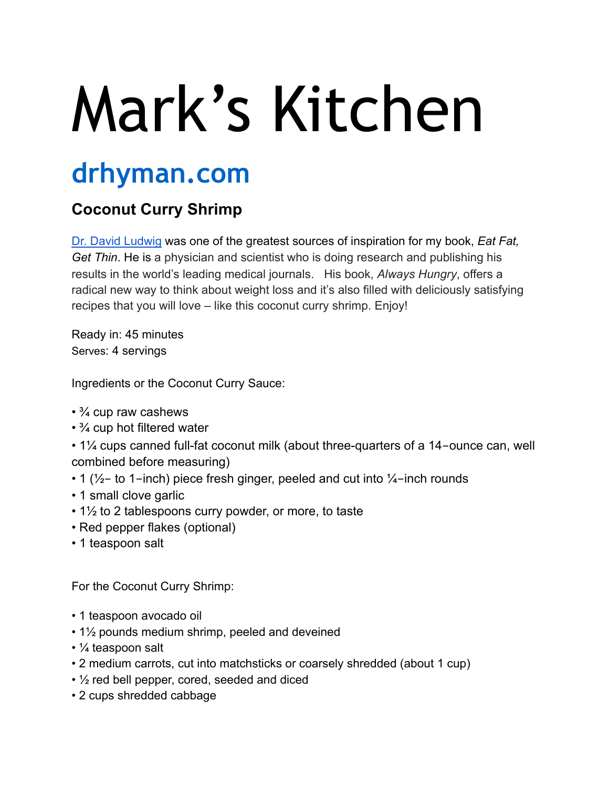## Mark's Kitchen

## **drhyman.com**

## **Coconut Curry Shrimp**

[Dr. David Ludwig](https://www.drdavidludwig.com) [was one of the greatest sources of inspiration for my book,](http://www.eatfatgetthin.com/) *Eat Fat, Get Thin*. He is a physician and scientist who is doing research and publishing his results in the world's leading medical journals. His book, *Always Hungry*, offers a radical new way to think about weight loss and it's also filled with deliciously satisfying recipes that you will love – like this coconut curry shrimp. Enjoy!

Ready in: 45 minutes Serves: 4 servings

Ingredients or the Coconut Curry Sauce:

- <sup>3</sup>/<sub>4</sub> cup raw cashews
- 3/4 cup hot filtered water
- 1¼ cups canned full-fat coconut milk (about three-quarters of a 14-ounce can, well combined before measuring)
- 1 ( $\frac{1}{2}$  to 1-inch) piece fresh ginger, peeled and cut into  $\frac{1}{4}$ -inch rounds
- 1 small clove garlic
- 1½ to 2 tablespoons curry powder, or more, to taste
- Red pepper flakes (optional)
- 1 teaspoon salt

For the Coconut Curry Shrimp:

- 1 teaspoon avocado oil
- 1½ pounds medium shrimp, peeled and deveined
- ¼ teaspoon salt
- 2 medium carrots, cut into matchsticks or coarsely shredded (about 1 cup)
- ½ red bell pepper, cored, seeded and diced
- 2 cups shredded cabbage